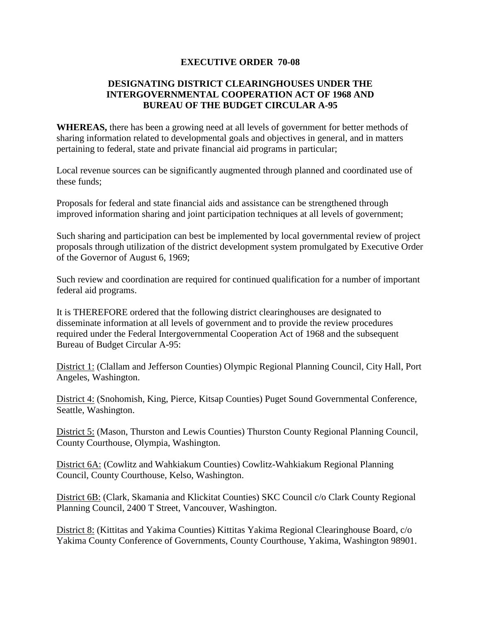## **EXECUTIVE ORDER 70-08**

## **DESIGNATING DISTRICT CLEARINGHOUSES UNDER THE INTERGOVERNMENTAL COOPERATION ACT OF 1968 AND BUREAU OF THE BUDGET CIRCULAR A-95**

**WHEREAS,** there has been a growing need at all levels of government for better methods of sharing information related to developmental goals and objectives in general, and in matters pertaining to federal, state and private financial aid programs in particular;

Local revenue sources can be significantly augmented through planned and coordinated use of these funds;

Proposals for federal and state financial aids and assistance can be strengthened through improved information sharing and joint participation techniques at all levels of government;

Such sharing and participation can best be implemented by local governmental review of project proposals through utilization of the district development system promulgated by Executive Order of the Governor of August 6, 1969;

Such review and coordination are required for continued qualification for a number of important federal aid programs.

It is THEREFORE ordered that the following district clearinghouses are designated to disseminate information at all levels of government and to provide the review procedures required under the Federal Intergovernmental Cooperation Act of 1968 and the subsequent Bureau of Budget Circular A-95:

District 1: (Clallam and Jefferson Counties) Olympic Regional Planning Council, City Hall, Port Angeles, Washington.

District 4: (Snohomish, King, Pierce, Kitsap Counties) Puget Sound Governmental Conference, Seattle, Washington.

District 5: (Mason, Thurston and Lewis Counties) Thurston County Regional Planning Council, County Courthouse, Olympia, Washington.

District 6A: (Cowlitz and Wahkiakum Counties) Cowlitz-Wahkiakum Regional Planning Council, County Courthouse, Kelso, Washington.

District 6B: (Clark, Skamania and Klickitat Counties) SKC Council c/o Clark County Regional Planning Council, 2400 T Street, Vancouver, Washington.

District 8: (Kittitas and Yakima Counties) Kittitas Yakima Regional Clearinghouse Board, c/o Yakima County Conference of Governments, County Courthouse, Yakima, Washington 98901.